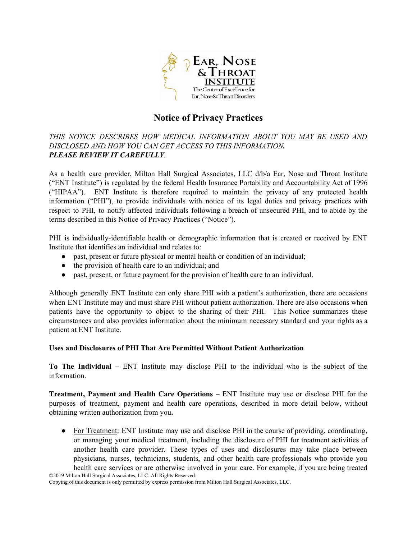

# **Notice of Privacy Practices**

THIS NOTICE DESCRIBES HOW MEDICAL INFORMATION ABOUT YOU MAY BE USED AND *DISCLOSED AND HOW YOU CAN GET ACCESS TO THIS INFORMATION. PLEASE REVIEW IT CAREFULLY.* 

As a health care provider, Milton Hall Surgical Associates, LLC  $d/b/a$  Ear, Nose and Throat Institute ("ENT Institute") is regulated by the federal Health Insuranc e Portability and Accountability Act of 1996 ("HIPAA"). ENT Institute is therefore required to maintain the privacy of any protected health information ("PHI"), to provide individuals with notice of its legal duties and privacy practices with respect to PHI, to notify affected individuals following a breach of unsecured PHI, and to abide by the terms described in this Notice of Privacy Practices ("Notice").

PHI is individually-identifiable health or demographic information that is created or received by ENT Institute that identifies an individual and relates to:

- past, present or future physical or mental health or condition of an individual;
- the provision of health care to an individual; and
- past, present, or future payment for the provision of health care to an individual.

Although generally ENT Institute can only share PHI with a patient 's authorization, there are occasions when ENT Institute may and must share PHI without patient authorization. There are also occasions when patients have the opportunity to object to the sharing of their PHI. This Notice summarizes these circumstances and also provides information about the minimum necessary standard and your rights as a patient at ENT Institute.

### **Uses and Disclosures of PHI That Are Permitted Without Patient Authorization**

**To The Individual –** ENT Institute may disclose PHI to the individual who is the subject of the information.

**Treatment, Payment and Health Care Operations – ENT Institute may use or disclose PHI for the** purposes of treatment, payment and health care operations, described in more detail below, without obtaining written authorization from you**.** 

• For Treatment: ENT Institute may use and disclose PHI in the course of providing, coordinating, or managing your medical treatment, including the disclosure of PHI for treatment activities of another health care provider. These types of uses and disclosures may take place between physicians, nurses, technicians, students, and other health care professionals who provide you health care services or are otherwise involved in your care. For example, if you are being treated ©2019 Milton Hall Surgical Associates, LLC. All Rights Reserved.

Copying of this document is only permitted by express permission from Milton Hall Surgical Associates, LLC.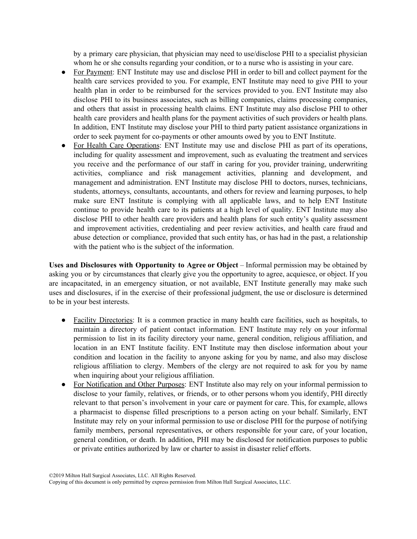by a primary care physician, that physician may need to use/disclose PHI to a specialist physician whom he or she consults regarding your condition, or to a nurse who is assisting in your care.

- For Payment: ENT Institute may use and disclose PHI in order to bill and collect payment for the health care services provided to you. For example, ENT Institute may need to give PHI to your health plan in order to be reimbursed for the services provided to you. ENT Institute may also disclose PHI to its business associates, such as billing companies, claims processing companies, and others that assist in processing health claims. ENT Institute may also disclose PHI to other health care providers and health plans for the payment activities of such providers or health plans. In addition, ENT Institute may disclose your PHI to third party patient assistance organizations in order to seek payment for co-payments or other amounts owed by you to ENT Institute.
- For Health Care Operations: ENT Institute may use and disclose PHI as part of its operations, including for quality assessment and improvement, such as evaluating the treatment and services you receive and the performance of our staff in caring for you , provider training, underwriting activities, compliance and risk management activities, planning and development, and management and administration. ENT Institute may disclose PHI to doctors, nurses, technicians, students, attorneys, consultants, accountants, and others for review and learning purposes, to help make sure ENT Institute is complying with all applicable laws, and to help ENT Institute continue to provide health care to its patients at a high level of quality. ENT Institute may also disclose PHI to other health care providers and health plans for such entity's quality assessment and improvement activities, credentialing and peer review activities, and health care fraud and abuse detection or compliance, provided that such entity has, or has had in the past, a relationship with the patient who is the subject of the information.

**Uses and Disclosures with Opportunity to Agree or Object** – Informal permission may be obtained by asking you or by circumstances that clearly give you the opportunity to agree, acquiesce, or object. If you are incapacitated, in an emergency situation, or not available, ENT Institute generally may make such uses and disclosures, if in the exercise of their professional judgment, the use or disclosure is determined to be in your best interests.

- Facility Directories: It is a common practice in many health care facilities, such as hospitals, to maintain a directory of patient contact information. ENT Institute may rely on your informal permission to list in its facility directory your name, general condition, religious affiliation, and location in an ENT Institute facility. ENT Institute may then disclose information about your condition and location in the facility to anyone asking for you by name, and also may disclose religious affiliation to clergy. Members of the clergy are not required to ask for you by name when inquiring about your religious affiliation.
- For Notification and Other Purposes: ENT Institute also may rely on your informal permission to disclose to your family, relatives, or friends, or to other persons whom you identify, PHI directly relevant to that person's involvement in your care or payment for care. This, for example, allows a pharmacist to dispense filled prescriptions to a person acting on your behalf. Similarly, ENT Institute may rely on your informal permission to use or disclose PHI for the purpose of notifying family members, personal representatives, or others responsible for your care, of your location, general condition, or death. In addition, PHI may be disclosed for notification purposes to public or private entities authorized by law or charter to assist in disaster relief efforts.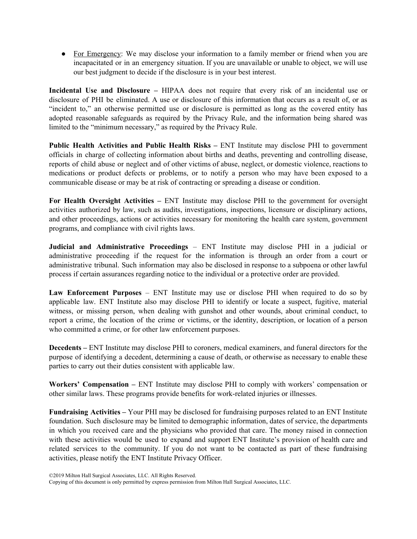• For Emergency: We may disclose your information to a family member or friend when you are incapacitated or in an emergency situation. If you are unavailable or unable to object, we will use our best judgment to decide if the disclosure is in your best interest.

**Incidental Use and Disclosure –** HIPAA does not require that every risk of an incidental use or disclosure of PHI be eliminated. A use or disclosure of this information that occurs as a result of, or as "incident to," an otherwise permitted use or disclosure is permitted as long as the covered entity has adopted reasonable safeguards as required by the Privacy Rule, and the information being shared was limited to the "minimum necessary," as required by the Privacy Rule.

Public Health Activities and Public Health Risks - ENT Institute may disclose PHI to government officials in charge of collecting information about births and deaths, preventing and controlling disease, reports of child abuse or neglect and of other victims of abuse, neglect, or domestic violence, reactions to medications or product defects or problems, or to notify a person who may have been exposed to a communicable disease or may be at risk of contracting or spreading a disease or condition.

**For Health Oversight Activities –** ENT Institute may disclose PHI to the government for oversight activities authorized by law, such as audits, investigations, inspections, licensure or disciplinary actions, and other proceedings, actions or activities necessary for monitoring the health care system, government programs, and compliance with civil rights laws.

**Judicial and Administrative Proceedings** – ENT Institute may disclose PHI in a judicial or administrative proceeding if the request for the information is through an order from a court or administrative tribunal. Such information may also be disclosed in response to a subpoena or other lawful process if certain assurances regarding notice to the individual or a protective order are provided.

**Law Enforcement Purposes** – ENT Institute may use or disclose PHI when required to do so by applicable law. ENT Institute also may disclose PHI to identify or locate a suspect, fugitive, material witness, or missing person, when dealing with gunshot and other wounds, about criminal conduct, to report a crime, the location of the crime or victims, or the identity, description, or location of a person who committed a crime, or for other law enforcement purposes.

**Decedents –** ENT Institute may disclose PHI to coroners, medical examiners, and funeral directors for the purpose of identifying a decedent, determining a cause of death, or otherwise as necessary to enable these parties to carry out their duties consistent with applicable law.

**Workers' Compensation –** ENT Institute may disclose PHI to comply with workers' compensation or other similar laws. These programs provide benefits for work-related injuries or illnesses.

**Fundraising Activities –** Your PHI may be disclosed for fundraising purposes related to an ENT Institute foundation. Such disclosure may be limited to demographic in formation, dates of service, the departments in which you received care and the physicians who provided that care. The money raised in connection with these activities would be used to expand and support ENT Institute's provision of health care and related services to the community. If you do not want to be contacted as part of these fundraising activities, please notify the ENT Institute Privacy Officer.

<sup>©2019</sup> Milton Hall Surgical Associates, LLC. All Rights Reserved.

Copying of this document is only permitted by express permission from Milton Hall Surgical Associates, LLC.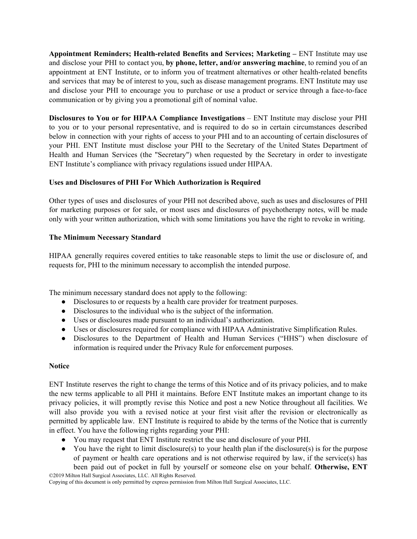**Appointment Reminders; Health-related Benefits and Services; Marketing – ENT Institute may use** and disclose your PHI to contact you, **by phone, letter, and/or answering machine** , to remind you of an appointment at ENT Institute, or to inform you of treatment a lternatives or other health-related benefits and services that may be of interest to you, such as disease management programs. ENT Institute may use and disclose your PHI to encourage you to purchase or use a product or service through a face-to-face communication or by giving you a promotional gift of nominal value.

**Disclosures to You or for HIPAA Compliance Investigations** – ENT Institute may disclose your PHI to you or to your personal representative, and is required to do so in certain circumstances described below in connection with your rights of access to your PHI and to an accounting of certain disclosures of your PHI. ENT Institute must disclose your PHI to the Secretary of the United States Department of Health and Human Services (the "Secretary") when requested by the Secretary in order to investigate ENT Institute's compliance with privacy regulations issued under HIPAA.

# **Uses and Disclosures of PHI For Which Authorization is Required**

Other types of uses and disclosures of your PHI not described above, such as uses and disclosures of PHI for marketing purposes or for sale, or most uses and disclosures of psychotherapy notes, will be made only with your written authorization, which with some limitations you have the right to revoke in writing.

# **The Minimum Necessary Standard**

HIPAA generally requires covered entities to take reasonable steps to limit the use or disclosure of, and requests for, PHI to the minimum necessary to accomplish the intended purpose.

The minimum necessary standard does not apply to the following:

- Disclosures to or requests by a health care provider for treatment purposes.
- Disclosures to the individual who is the subject of the information.
- Uses or disclosures made pursuant to an individual's authorization.
- Uses or disclosures required for compliance with HIPAA Administrative Simplification Rules.
- Disclosures to the Department of Health and Human Services ("HHS") when disclosure of information is required under the Privacy Rule for enforcement purposes.

### **Notice**

ENT Institute reserves the right to change the terms of this Notice and of its privacy policies, and to make the new terms applicable to all PHI it maintains. Before ENT Institute makes an important change to its privacy policies, it will promptly revise this Notice and post a new Notice throughout all facilities. We will also provide you with a revised notice at your first visit after the revision or electronically as permitted by applicable law. ENT Institute is required to abide by the terms of the Notice that is currently in effect. You have the following rights regarding your PHI:

- You may request that ENT Institute restrict the use and disclosure of your PHI.
- $\bullet$  You have the right to limit disclosure(s) to your health plan if the disclosure(s) is for the purpose of payment or health care operations and is not otherwise required by law, if the service(s) has been paid out of pocket in full by yourself or someone else on your behalf. **Otherwise, ENT** ©2019 Milton Hall Surgical Associates, LLC. All Rights Reserved.

Copying of this document is only permitted by express permission from Milton Hall Surgical Associates, LLC.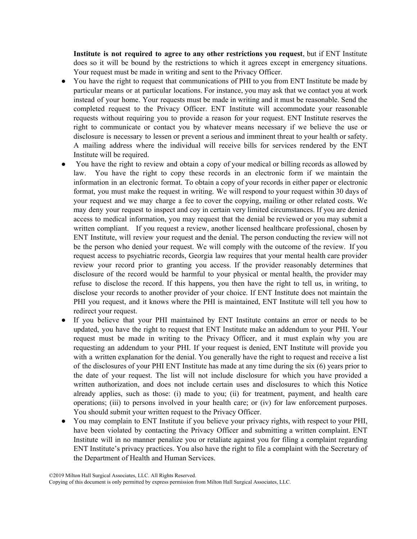**Institute is not required to agree to any other restrictions you request**, but if ENT Institute does so it will be bound by the restrictions to which it agrees except in emergency situations. Your request must be made in writing and sent to the Privacy Officer.

- You have the right to request that communications of PHI to you from ENT Institute be made by particular means or at particular locations. For instance, y ou may ask that we contact you at work instead of your home. Your requests must be made in writing and it must be reasonable. Send the completed request to the Privacy Officer. ENT Institute will accommodate your reasonable requests without requiring you to provide a reason for your request. ENT Institute reserves the right to communicate or contact you by whatever means necessary if we believe the use or disclosure is necessary to lessen or prevent a serious and imminent threat to your health or safety. A mailing address where the individual will receive bills for services rendered by the ENT Institute will be required.
- You have the right to review and obtain a copy of your medical or billing records as allowed by law. You have the right to copy these records in an electronic form if we maintain the information in an electronic format. To obtain a copy of your records in either paper or electronic format, you must make the request in writing. We will respond to your request within 30 days of your request and we may charge a fee to cover the copying, mailing or other related costs. We may deny your request to inspect and coy in certain very limited circumstances. If you are denied access to medical information, you may request that the denial be reviewed or you may submit a written compliant. If you request a review, another licensed healthcare professional, chosen by ENT Institute, will review your request and the denial. The person conducting the review will not be the person who denied your request. We will comply with the outcome of the review. If you request access to psychiatric records, Georgia law requires that your mental health care provider review your record prior to granting you access. If the provider reasonably determines that disclosure of the record would be harmful to your physical or mental health, the provider may refuse to disclose the record. If this happens, you then have the right to tell us, in writing, to disclose your records to another provider of your choice. If ENT Institute does not maintain the PHI you request, and it knows where the PHI is maintained, ENT Institute will tell you how to redirect your request.
- If you believe that your PHI maintained by ENT Institute contains an error or needs to be updated, you have the right to request that ENT Institute make an addendum to your PHI. Your request must be made in writing to the Privacy Officer, and it must explain why you are requesting an addendum to your PHI. If your request is denied, ENT Institute will provide you with a written explanation for the denial. You generally have the right to request and receive a list of the disclosures of your PHI ENT Institute has made at any time during the six (6) years prior to the date of your request. The list will not include disclosure for which you have provided a written authorization, and does not include certain uses and disclosures to which this Notice already applies, such as those: (i) made to you; (ii) for treatment, payment, and health care operations; (iii) to persons involved in your health care; or (iv) for law enforcement purposes. You should submit your written request to the Privacy Officer.
- You may complain to ENT Institute if you believe your privacy rights, with respect to your PHI, have been violated by contacting the Privacy Officer and submitting a written complaint. ENT Institute will in no manner penalize you or retaliate against you for filing a complaint regarding ENT Institute's privacy practices. You also have the right to file a complaint with the Secretary of the Department of Health and Human Services.

<sup>©2019</sup> Milton Hall Surgical Associates, LLC. All Rights Reserved.

Copying of this document is only permitted by express permission from Milton Hall Surgical Associates, LLC.